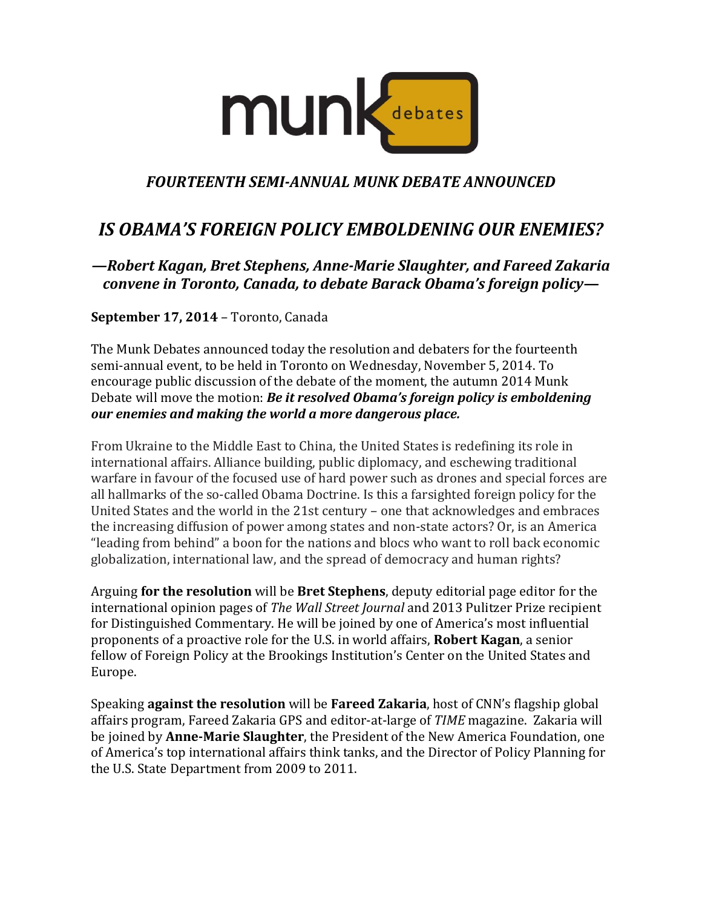

## *FOURTEENTH SEMI-ANNUAL MUNK DEBATE ANNOUNCED*

## *IS OBAMA'S FOREIGN POLICY EMBOLDENING OUR ENEMIES?*

*—Robert Kagan, Bret Stephens, Anne-Marie Slaughter, and Fareed Zakaria convene in Toronto, Canada, to debate Barack Obama's foreign policy—*

**September 17, 2014** – Toronto, Canada

The Munk Debates announced today the resolution and debaters for the fourteenth semi-annual event, to be held in Toronto on Wednesday, November 5, 2014. To encourage public discussion of the debate of the moment, the autumn 2014 Munk Debate will move the motion: *Be it resolved Obama's foreign policy is emboldening our enemies and making the world a more dangerous place.*

From Ukraine to the Middle East to China, the United States is redefining its role in international affairs. Alliance building, public diplomacy, and eschewing traditional warfare in favour of the focused use of hard power such as drones and special forces are all hallmarks of the so-called Obama Doctrine. Is this a farsighted foreign policy for the United States and the world in the 21st century – one that acknowledges and embraces the increasing diffusion of power among states and non-state actors? Or, is an America "leading from behind" a boon for the nations and blocs who want to roll back economic globalization, international law, and the spread of democracy and human rights?

Arguing **for the resolution** will be **Bret Stephens**, deputy editorial page editor for the international opinion pages of *The Wall Street Journal* and 2013 Pulitzer Prize recipient for Distinguished Commentary. He will be joined by one of America's most influential proponents of a proactive role for the U.S. in world affairs, **Robert Kagan**, a senior fellow of Foreign Policy at the Brookings Institution's Center on the United States and Europe.

Speaking **against the resolution** will be **Fareed Zakaria**, host of CNN's flagship global affairs program, Fareed Zakaria GPS and editor-at-large of *TIME* magazine. Zakaria will be joined by **Anne-Marie Slaughter**, the President of the New America Foundation, one of America's top international affairs think tanks, and the Director of Policy Planning for the U.S. State Department from 2009 to 2011.